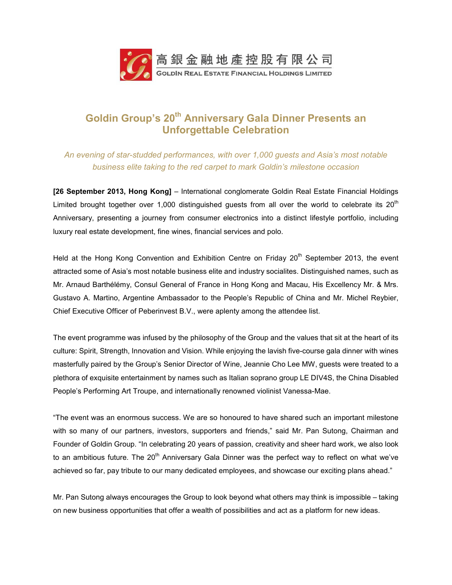

# **Goldin Group's 20th Anniversary Gala Dinner Presents an Unforgettable Celebration**

## *An evening of star-studded performances, with over 1,000 guests and Asia's most notable business elite taking to the red carpet to mark Goldin's milestone occasion*

**[26 September 2013, Hong Kong]** – International conglomerate Goldin Real Estate Financial Holdings Limited brought together over 1,000 distinguished guests from all over the world to celebrate its  $20<sup>th</sup>$ Anniversary, presenting a journey from consumer electronics into a distinct lifestyle portfolio, including luxury real estate development, fine wines, financial services and polo.

Held at the Hong Kong Convention and Exhibition Centre on Friday  $20<sup>th</sup>$  September 2013, the event attracted some of Asia's most notable business elite and industry socialites. Distinguished names, such as Mr. Arnaud Barthélémy, Consul General of France in Hong Kong and Macau, His Excellency Mr. & Mrs. Gustavo A. Martino, Argentine Ambassador to the People's Republic of China and Mr. Michel Reybier, Chief Executive Officer of Peberinvest B.V., were aplenty among the attendee list.

The event programme was infused by the philosophy of the Group and the values that sit at the heart of its culture: Spirit, Strength, Innovation and Vision. While enjoying the lavish five-course gala dinner with wines masterfully paired by the Group's Senior Director of Wine, Jeannie Cho Lee MW, guests were treated to a plethora of exquisite entertainment by names such as Italian soprano group LE DIV4S, the China Disabled People's Performing Art Troupe, and internationally renowned violinist Vanessa-Mae.

"The event was an enormous success. We are so honoured to have shared such an important milestone with so many of our partners, investors, supporters and friends," said Mr. Pan Sutong, Chairman and Founder of Goldin Group. "In celebrating 20 years of passion, creativity and sheer hard work, we also look to an ambitious future. The 20<sup>th</sup> Anniversary Gala Dinner was the perfect way to reflect on what we've achieved so far, pay tribute to our many dedicated employees, and showcase our exciting plans ahead."

Mr. Pan Sutong always encourages the Group to look beyond what others may think is impossible – taking on new business opportunities that offer a wealth of possibilities and act as a platform for new ideas.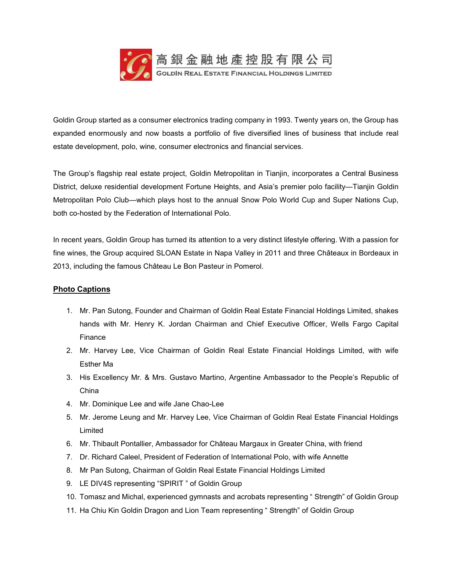

Goldin Group started as a consumer electronics trading company in 1993. Twenty years on, the Group has expanded enormously and now boasts a portfolio of five diversified lines of business that include real estate development, polo, wine, consumer electronics and financial services.

The Group's flagship real estate project, Goldin Metropolitan in Tianjin, incorporates a Central Business District, deluxe residential development Fortune Heights, and Asia's premier polo facility—Tianjin Goldin Metropolitan Polo Club—which plays host to the annual Snow Polo World Cup and Super Nations Cup, both co-hosted by the Federation of International Polo.

In recent years, Goldin Group has turned its attention to a very distinct lifestyle offering. With a passion for fine wines, the Group acquired SLOAN Estate in Napa Valley in 2011 and three Châteaux in Bordeaux in 2013, including the famous Château Le Bon Pasteur in Pomerol.

### **Photo Captions**

- 1. Mr. Pan Sutong, Founder and Chairman of Goldin Real Estate Financial Holdings Limited, shakes hands with Mr. Henry K. Jordan Chairman and Chief Executive Officer, Wells Fargo Capital Finance
- 2. Mr. Harvey Lee, Vice Chairman of Goldin Real Estate Financial Holdings Limited, with wife Esther Ma
- 3. His Excellency Mr. & Mrs. Gustavo Martino, Argentine Ambassador to the People's Republic of China
- 4. Mr. Dominique Lee and wife Jane Chao-Lee
- 5. Mr. Jerome Leung and Mr. Harvey Lee, Vice Chairman of Goldin Real Estate Financial Holdings Limited
- 6. Mr. Thibault Pontallier, Ambassador for Château Margaux in Greater China, with friend
- 7. Dr. Richard Caleel, President of Federation of International Polo, with wife Annette
- 8. Mr Pan Sutong, Chairman of Goldin Real Estate Financial Holdings Limited
- 9. LE DIV4S representing "SPIRIT " of Goldin Group
- 10. Tomasz and Michal, experienced gymnasts and acrobats representing " Strength" of Goldin Group
- 11. Ha Chiu Kin Goldin Dragon and Lion Team representing " Strength" of Goldin Group